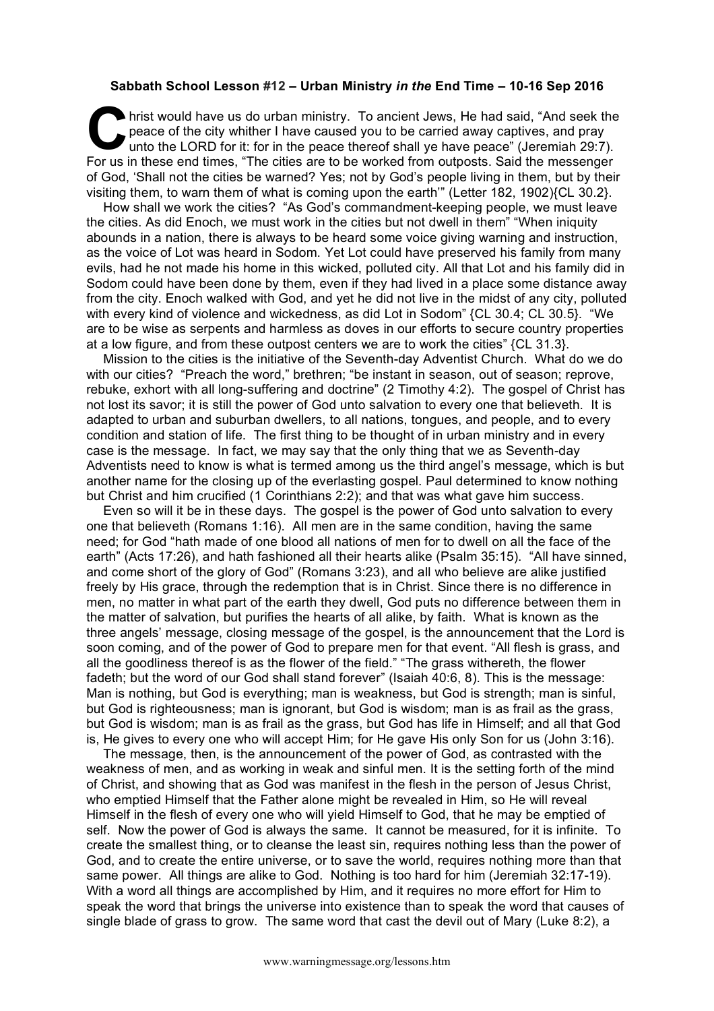## **Sabbath School Lesson #12 – Urban Ministry** *in the* **End Time – 10-16 Sep 2016**

hrist would have us do urban ministry. To ancient Jews, He had said, "And seek the peace of the city whither I have caused you to be carried away captives, and pray unto the LORD for it: for in the peace thereof shall ye h peace of the city whither I have caused you to be carried away captives, and pray unto the LORD for it: for in the peace thereof shall ye have peace" (Jeremiah 29:7). For us in these end times, "The cities are to be worked from outposts. Said the messenger of God, 'Shall not the cities be warned? Yes; not by God's people living in them, but by their visiting them, to warn them of what is coming upon the earth'" (Letter 182, 1902){CL 30.2}.

How shall we work the cities? "As God's commandment-keeping people, we must leave the cities. As did Enoch, we must work in the cities but not dwell in them" "When iniquity abounds in a nation, there is always to be heard some voice giving warning and instruction, as the voice of Lot was heard in Sodom. Yet Lot could have preserved his family from many evils, had he not made his home in this wicked, polluted city. All that Lot and his family did in Sodom could have been done by them, even if they had lived in a place some distance away from the city. Enoch walked with God, and yet he did not live in the midst of any city, polluted with every kind of violence and wickedness, as did Lot in Sodom" {CL 30.4; CL 30.5}. "We are to be wise as serpents and harmless as doves in our efforts to secure country properties at a low figure, and from these outpost centers we are to work the cities" {CL 31.3}.

Mission to the cities is the initiative of the Seventh-day Adventist Church. What do we do with our cities? "Preach the word," brethren; "be instant in season, out of season; reprove, rebuke, exhort with all long-suffering and doctrine" (2 Timothy 4:2). The gospel of Christ has not lost its savor; it is still the power of God unto salvation to every one that believeth. It is adapted to urban and suburban dwellers, to all nations, tongues, and people, and to every condition and station of life. The first thing to be thought of in urban ministry and in every case is the message. In fact, we may say that the only thing that we as Seventh-day Adventists need to know is what is termed among us the third angel's message, which is but another name for the closing up of the everlasting gospel. Paul determined to know nothing but Christ and him crucified (1 Corinthians 2:2); and that was what gave him success.

Even so will it be in these days. The gospel is the power of God unto salvation to every one that believeth (Romans 1:16). All men are in the same condition, having the same need; for God "hath made of one blood all nations of men for to dwell on all the face of the earth" (Acts 17:26), and hath fashioned all their hearts alike (Psalm 35:15). "All have sinned, and come short of the glory of God" (Romans 3:23), and all who believe are alike justified freely by His grace, through the redemption that is in Christ. Since there is no difference in men, no matter in what part of the earth they dwell, God puts no difference between them in the matter of salvation, but purifies the hearts of all alike, by faith. What is known as the three angels' message, closing message of the gospel, is the announcement that the Lord is soon coming, and of the power of God to prepare men for that event. "All flesh is grass, and all the goodliness thereof is as the flower of the field." "The grass withereth, the flower fadeth; but the word of our God shall stand forever" (Isaiah 40:6, 8). This is the message: Man is nothing, but God is everything; man is weakness, but God is strength; man is sinful, but God is righteousness; man is ignorant, but God is wisdom; man is as frail as the grass, but God is wisdom; man is as frail as the grass, but God has life in Himself; and all that God is, He gives to every one who will accept Him; for He gave His only Son for us (John 3:16).

The message, then, is the announcement of the power of God, as contrasted with the weakness of men, and as working in weak and sinful men. It is the setting forth of the mind of Christ, and showing that as God was manifest in the flesh in the person of Jesus Christ, who emptied Himself that the Father alone might be revealed in Him, so He will reveal Himself in the flesh of every one who will yield Himself to God, that he may be emptied of self. Now the power of God is always the same. It cannot be measured, for it is infinite. To create the smallest thing, or to cleanse the least sin, requires nothing less than the power of God, and to create the entire universe, or to save the world, requires nothing more than that same power. All things are alike to God. Nothing is too hard for him (Jeremiah 32:17-19). With a word all things are accomplished by Him, and it requires no more effort for Him to speak the word that brings the universe into existence than to speak the word that causes of single blade of grass to grow. The same word that cast the devil out of Mary (Luke 8:2), a